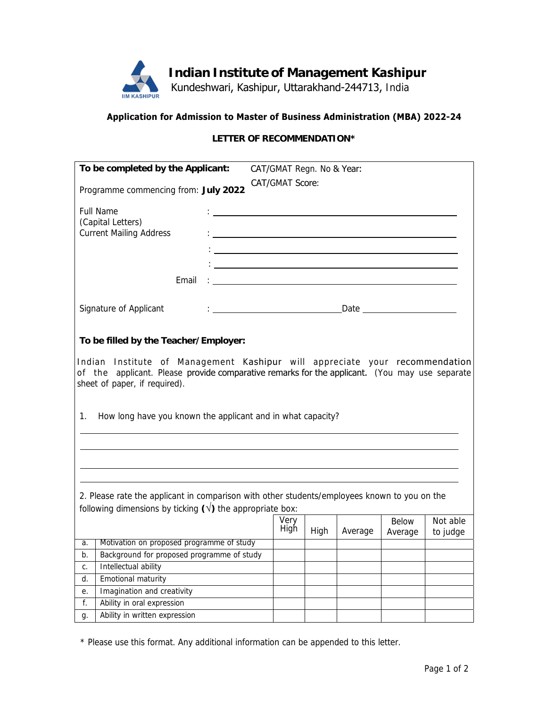

Kundeshwari, Kashipur, Uttarakhand-244713, India

## **Application for Admission to Master of Business Administration (MBA) 2022-24**

## **LETTER OF RECOMMENDATION\***

| To be completed by the Applicant:                                                                                                                                                                                                                                                                                           |                                                                                  |  | CAT/GMAT Regn. No & Year:              |              |      |                                                                                                                     |                               |                      |
|-----------------------------------------------------------------------------------------------------------------------------------------------------------------------------------------------------------------------------------------------------------------------------------------------------------------------------|----------------------------------------------------------------------------------|--|----------------------------------------|--------------|------|---------------------------------------------------------------------------------------------------------------------|-------------------------------|----------------------|
|                                                                                                                                                                                                                                                                                                                             | Programme commencing from: July 2022                                             |  | CAT/GMAT Score:                        |              |      |                                                                                                                     |                               |                      |
|                                                                                                                                                                                                                                                                                                                             | <b>Full Name</b><br>(Capital Letters)<br><b>Current Mailing Address</b><br>Email |  |                                        |              |      | $\frac{1}{2}$ , and the contract of the contract of the contract of the contract of the contract of the contract of |                               |                      |
|                                                                                                                                                                                                                                                                                                                             | Signature of Applicant                                                           |  | : <u>_____________________________</u> |              |      |                                                                                                                     | Date ________________________ |                      |
| To be filled by the Teacher/Employer:<br>Indian Institute of Management Kashipur will appreciate your recommendation<br>of the applicant. Please provide comparative remarks for the applicant. (You may use separate<br>sheet of paper, if required).<br>How long have you known the applicant and in what capacity?<br>1. |                                                                                  |  |                                        |              |      |                                                                                                                     |                               |                      |
| 2. Please rate the applicant in comparison with other students/employees known to you on the<br>following dimensions by ticking $(\sqrt{})$ the appropriate box:                                                                                                                                                            |                                                                                  |  |                                        |              |      |                                                                                                                     |                               |                      |
|                                                                                                                                                                                                                                                                                                                             |                                                                                  |  |                                        | Very<br>High | High | Average                                                                                                             | <b>Below</b><br>Average       | Not able<br>to judge |
| a.                                                                                                                                                                                                                                                                                                                          | Motivation on proposed programme of study                                        |  |                                        |              |      |                                                                                                                     |                               |                      |
| b.                                                                                                                                                                                                                                                                                                                          | Background for proposed programme of study                                       |  |                                        |              |      |                                                                                                                     |                               |                      |
| С.                                                                                                                                                                                                                                                                                                                          | Intellectual ability                                                             |  |                                        |              |      |                                                                                                                     |                               |                      |
| d.                                                                                                                                                                                                                                                                                                                          | Emotional maturity                                                               |  |                                        |              |      |                                                                                                                     |                               |                      |
| е.                                                                                                                                                                                                                                                                                                                          | Imagination and creativity                                                       |  |                                        |              |      |                                                                                                                     |                               |                      |
| f.                                                                                                                                                                                                                                                                                                                          | Ability in oral expression                                                       |  |                                        |              |      |                                                                                                                     |                               |                      |
| g.                                                                                                                                                                                                                                                                                                                          | Ability in written expression                                                    |  |                                        |              |      |                                                                                                                     |                               |                      |

\* Please use this format. Any additional information can be appended to this letter.